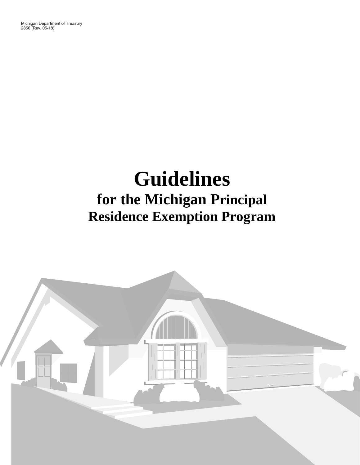Michigan Department of Treasury 2856 (Rev. 05-18)

# **Guidelines for the Michigan Principal Residence Exemption Program**

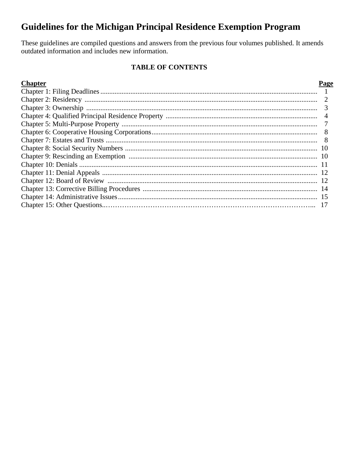# **Guidelines for the Michigan Principal Residence Exemption Program**

These guidelines are compiled questions and answers from the previous four volumes published. It amends outdated information and includes new information.

# **TABLE OF CONTENTS**

# **Chapter**

# Page

| 3              |
|----------------|
| $\overline{4}$ |
|                |
| 8              |
|                |
|                |
|                |
|                |
|                |
|                |
|                |
|                |
|                |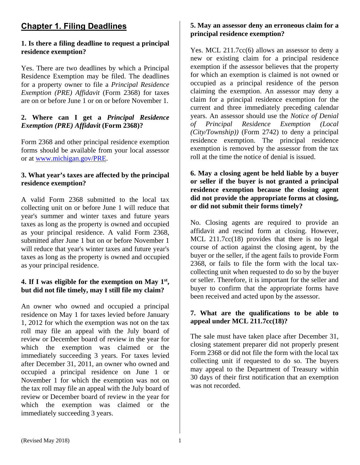# **Chapter 1. Filing Deadlines**

## **1. Is there a filing deadline to request a principal residence exemption?**

Yes. There are two deadlines by which a Principal Residence Exemption may be filed. The deadlines for a property owner to file a *Principal Residence Exemption (PRE) Affidavit* (Form 2368) for taxes are on or before June 1 or on or before November 1.

# **2. Where can I get a** *Principal Residence Exemption (PRE) Affidavit* **(Form 2368)?**

Form 2368 and other principal residence exemption forms should be available from your local assessor or at www.michigan.gov/PRE.

## **3. What year's taxes are affected by the principal residence exemption?**

A valid Form 2368 submitted to the local tax collecting unit on or before June 1 will reduce that year's summer and winter taxes and future years taxes as long as the property is owned and occupied as your principal residence. A valid Form 2368, submitted after June 1 but on or before November 1 will reduce that year's winter taxes and future year's taxes as long as the property is owned and occupied as your principal residence.

# **4. If I was eligible for the exemption on May 1st, but did not file timely, may I still file my claim?**

An owner who owned and occupied a principal residence on May 1 for taxes levied before January 1, 2012 for which the exemption was not on the tax roll may file an appeal with the July board of review or December board of review in the year for which the exemption was claimed or the immediately succeeding 3 years. For taxes levied after December 31, 2011, an owner who owned and occupied a principal residence on June 1 or November 1 for which the exemption was not on the tax roll may file an appeal with the July board of review or December board of review in the year for which the exemption was claimed or the immediately succeeding 3 years.

# **5. May an assessor deny an erroneous claim for a principal residence exemption?**

Yes. MCL 211.7cc(6) allows an assessor to deny a new or existing claim for a principal residence exemption if the assessor believes that the property for which an exemption is claimed is not owned or occupied as a principal residence of the person claiming the exemption. An assessor may deny a claim for a principal residence exemption for the current and three immediately preceding calendar years. An assessor should use the *Notice of Denial of Principal Residence Exemption (Local (City/Township))* (Form 2742) to deny a principal residence exemption. The principal residence exemption is removed by the assessor from the tax roll at the time the notice of denial is issued.

# **6. May a closing agent be held liable by a buyer or seller if the buyer is not granted a principal residence exemption because the closing agent did not provide the appropriate forms at closing, or did not submit their forms timely?**

No. Closing agents are required to provide an affidavit and rescind form at closing. However, MCL 211.7cc(18) provides that there is no legal course of action against the closing agent, by the buyer or the seller, if the agent fails to provide Form 2368, or fails to file the form with the local taxcollecting unit when requested to do so by the buyer or seller. Therefore, it is important for the seller and buyer to confirm that the appropriate forms have been received and acted upon by the assessor.

# **7. What are the qualifications to be able to appeal under MCL 211.7cc(18)?**

The sale must have taken place after December 31, closing statement preparer did not properly present Form 2368 or did not file the form with the local tax collecting unit if requested to do so. The buyers may appeal to the Department of Treasury within 30 days of their first notification that an exemption was not recorded.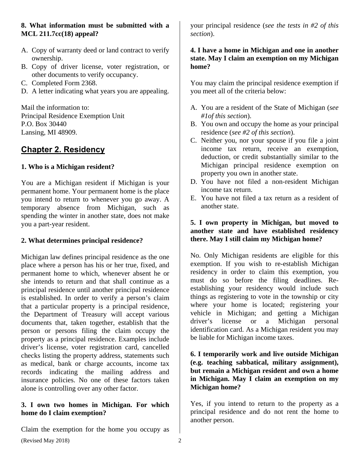# **8. What information must be submitted with a MCL 211.7cc(18) appeal?**

- A. Copy of warranty deed or land contract to verify ownership.
- B. Copy of driver license, voter registration, or other documents to verify occupancy.
- C. Completed Form 2368.
- D. A letter indicating what years you are appealing.

Mail the information to: Principal Residence Exemption Unit P.O. Box 30440 Lansing, MI 48909.

# **Chapter 2. Residency**

# **1. Who is a Michigan resident?**

You are a Michigan resident if Michigan is your permanent home. Your permanent home is the place you intend to return to whenever you go away. A temporary absence from Michigan, such as spending the winter in another state, does not make you a part-year resident.

# **2. What determines principal residence?**

Michigan law defines principal residence as the one place where a person has his or her true, fixed, and permanent home to which, whenever absent he or she intends to return and that shall continue as a principal residence until another principal residence is established. In order to verify a person's claim that a particular property is a principal residence, the Department of Treasury will accept various documents that, taken together, establish that the person or persons filing the claim occupy the property as a principal residence. Examples include driver's license, voter registration card, cancelled checks listing the property address, statements such as medical, bank or charge accounts, income tax records indicating the mailing address and insurance policies. No one of these factors taken alone is controlling over any other factor.

## **3. I own two homes in Michigan. For which home do I claim exemption?**

(Revised May 2018) 2 Claim the exemption for the home you occupy as

your principal residence (*see the tests in #2 of this section*).

# **4. I have a home in Michigan and one in another state. May I claim an exemption on my Michigan home?**

You may claim the principal residence exemption if you meet all of the criteria below:

- A. You are a resident of the State of Michigan (*see #1of this section*).
- B. You own and occupy the home as your principal residence (*see #2 of this section*).
- C. Neither you, nor your spouse if you file a joint income tax return, receive an exemption, deduction, or credit substantially similar to the Michigan principal residence exemption on property you own in another state.
- D. You have not filed a non-resident Michigan income tax return.
- E. You have not filed a tax return as a resident of another state.

# **5. I own property in Michigan, but moved to another state and have established residency there. May I still claim my Michigan home?**

No. Only Michigan residents are eligible for this exemption. If you wish to re-establish Michigan residency in order to claim this exemption, you must do so before the filing deadlines. Reestablishing your residency would include such things as registering to vote in the township or city where your home is located; registering your vehicle in Michigan; and getting a Michigan driver's license or a Michigan personal identification card. As a Michigan resident you may be liable for Michigan income taxes.

## **6. I temporarily work and live outside Michigan (e.g. teaching sabbatical, military assignment), but remain a Michigan resident and own a home in Michigan. May I claim an exemption on my Michigan home?**

Yes, if you intend to return to the property as a principal residence and do not rent the home to another person.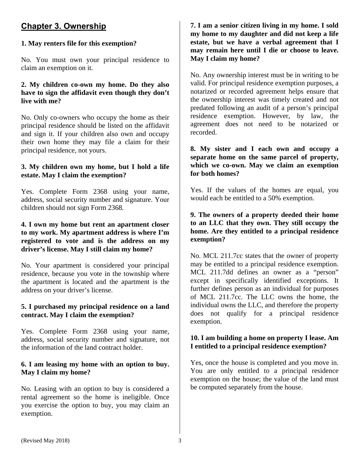# **Chapter 3. Ownership**

# **1. May renters file for this exemption?**

No. You must own your principal residence to claim an exemption on it.

# **2. My children co-own my home. Do they also have to sign the affidavit even though they don't live with me?**

No. Only co-owners who occupy the home as their principal residence should be listed on the affidavit and sign it. If your children also own and occupy their own home they may file a claim for their principal residence, not yours.

# **3. My children own my home, but I hold a life estate. May I claim the exemption?**

Yes. Complete Form 2368 using your name, address, social security number and signature. Your children should not sign Form 2368*.* 

#### **4. I own my home but rent an apartment closer to my work. My apartment address is where I'm registered to vote and is the address on my driver's license. May I still claim my home?**

No. Your apartment is considered your principal residence, because you vote in the township where the apartment is located and the apartment is the address on your driver's license.

## **5. I purchased my principal residence on a land contract. May I claim the exemption?**

Yes. Complete Form 2368 using your name, address, social security number and signature, not the information of the land contract holder.

## **6. I am leasing my home with an option to buy. May I claim my home?**

No. Leasing with an option to buy is considered a rental agreement so the home is ineligible. Once you exercise the option to buy, you may claim an exemption.

**7. I am a senior citizen living in my home. I sold my home to my daughter and did not keep a life estate, but we have a verbal agreement that I may remain here until I die or choose to leave. May I claim my home?** 

No. Any ownership interest must be in writing to be valid. For principal residence exemption purposes, a notarized or recorded agreement helps ensure that the ownership interest was timely created and not predated following an audit of a person's principal residence exemption. However, by law, the agreement does not need to be notarized or recorded.

**8. My sister and I each own and occupy a separate home on the same parcel of property, which we co-own. May we claim an exemption for both homes?** 

Yes. If the values of the homes are equal, you would each be entitled to a 50% exemption.

# **9. The owners of a property deeded their home to an LLC that they own. They still occupy the home. Are they entitled to a principal residence exemption?**

No. MCL 211.7cc states that the owner of property may be entitled to a principal residence exemption. MCL 211.7dd defines an owner as a "person" except in specifically identified exceptions. It further defines person as an individual for purposes of MCL 211.7cc. The LLC owns the home, the individual owns the LLC, and therefore the property does not qualify for a principal residence exemption.

# **10. I am building a home on property I lease. Am I entitled to a principal residence exemption?**

Yes, once the house is completed and you move in. You are only entitled to a principal residence exemption on the house; the value of the land must be computed separately from the house.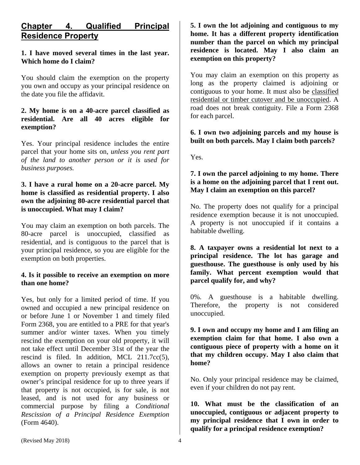# **Chapter 4. Qualified Principal Residence Property**

# **1. I have moved several times in the last year. Which home do I claim?**

You should claim the exemption on the property you own and occupy as your principal residence on the date you file the affidavit.

#### **2. My home is on a 40-acre parcel classified as residential. Are all 40 acres eligible for exemption?**

Yes. Your principal residence includes the entire parcel that your home sits on, *unless you rent part of the land to another person or it is used for business purposes.* 

## **3. I have a rural home on a 20-acre parcel. My home is classified as residential property. I also own the adjoining 80-acre residential parcel that is unoccupied. What may I claim?**

You may claim an exemption on both parcels. The 80-acre parcel is unoccupied, classified as residential, and is contiguous to the parcel that is your principal residence, so you are eligible for the exemption on both properties.

#### **4. Is it possible to receive an exemption on more than one home?**

Yes, but only for a limited period of time. If you owned and occupied a new principal residence on or before June 1 or November 1 and timely filed Form 2368, you are entitled to a PRE for that year's summer and/or winter taxes. When you timely rescind the exemption on your old property, it will not take effect until December 31st of the year the rescind is filed. In addition, MCL 211.7cc(5), allows an owner to retain a principal residence exemption on property previously exempt as that owner's principal residence for up to three years if that property is not occupied, is for sale, is not leased, and is not used for any business or commercial purpose by filing a *Conditional Rescission of a Principal Residence Exemption* (Form 4640).

**5. I own the lot adjoining and contiguous to my home. It has a different property identification number than the parcel on which my principal residence is located. May I also claim an exemption on this property?** 

You may claim an exemption on this property as long as the property claimed is adjoining or contiguous to your home. It must also be classified residential or timber cutover and be unoccupied. A road does not break contiguity. File a Form 2368 for each parcel.

## **6. I own two adjoining parcels and my house is built on both parcels. May I claim both parcels?**

Yes.

# **7. I own the parcel adjoining to my home. There is a home on the adjoining parcel that I rent out. May I claim an exemption on this parcel?**

No. The property does not qualify for a principal residence exemption because it is not unoccupied. A property is not unoccupied if it contains a habitable dwelling.

**8. A taxpayer owns a residential lot next to a principal residence. The lot has garage and guesthouse. The guesthouse is only used by his family. What percent exemption would that parcel qualify for, and why?** 

0%. A guesthouse is a habitable dwelling. Therefore, the property is not considered unoccupied.

**9. I own and occupy my home and I am filing an exemption claim for that home. I also own a contiguous piece of property with a home on it that my children occupy. May I also claim that home?** 

No. Only your principal residence may be claimed, even if your children do not pay rent.

**10. What must be the classification of an unoccupied, contiguous or adjacent property to my principal residence that I own in order to qualify for a principal residence exemption?**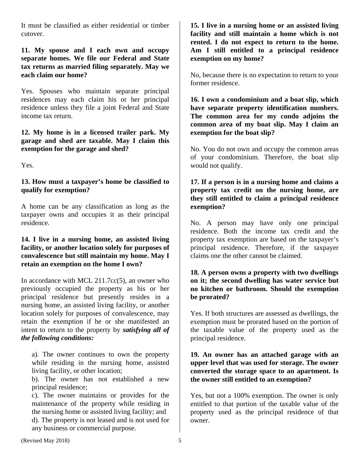It must be classified as either residential or timber cutover.

**11. My spouse and I each own and occupy separate homes. We file our Federal and State tax returns as married filing separately. May we each claim our home?** 

Yes. Spouses who maintain separate principal residences may each claim his or her principal residence unless they file a joint Federal and State income tax return.

**12. My home is in a licensed trailer park. My garage and shed are taxable. May I claim this exemption for the garage and shed?** 

Yes.

# **13. How must a taxpayer's home be classified to qualify for exemption?**

A home can be any classification as long as the taxpayer owns and occupies it as their principal residence.

#### **14. I live in a nursing home, an assisted living facility, or another location solely for purposes of convalescence but still maintain my home. May I retain an exemption on the home I own?**

In accordance with MCL  $211.7cc(5)$ , an owner who previously occupied the property as his or her principal residence but presently resides in a nursing home, an assisted living facility, or another location solely for purposes of convalescence, may retain the exemption if he or she manifested an intent to return to the property by *satisfying all of the following conditions:*

a). The owner continues to own the property while residing in the nursing home, assisted living facility, or other location;

b). The owner has not established a new principal residence;

c). The owner maintains or provides for the maintenance of the property while residing in the nursing home or assisted living facility; and

d). The property is not leased and is not used for any business or commercial purpose.

**15. I live in a nursing home or an assisted living facility and still maintain a home which is not rented. I do not expect to return to the home. Am I still entitled to a principal residence exemption on my home?** 

No, because there is no expectation to return to your former residence.

**16. I own a condominium and a boat slip, which have separate property identification numbers. The common area for my condo adjoins the common area of my boat slip. May I claim an exemption for the boat slip?** 

No. You do not own and occupy the common areas of your condominium. Therefore, the boat slip would not qualify.

## **17. If a person is in a nursing home and claims a property tax credit on the nursing home, are they still entitled to claim a principal residence exemption?**

No. A person may have only one principal residence. Both the income tax credit and the property tax exemption are based on the taxpayer's principal residence. Therefore, if the taxpayer claims one the other cannot be claimed.

#### **18. A person owns a property with two dwellings on it; the second dwelling has water service but no kitchen or bathroom. Should the exemption be prorated?**

Yes. If both structures are assessed as dwellings, the exemption must be prorated based on the portion of the taxable value of the property used as the principal residence.

## **19. An owner has an attached garage with an upper level that was used for storage. The owner converted the storage space to an apartment. Is the owner still entitled to an exemption?**

Yes, but not a 100% exemption. The owner is only entitled to that portion of the taxable value of the property used as the principal residence of that owner.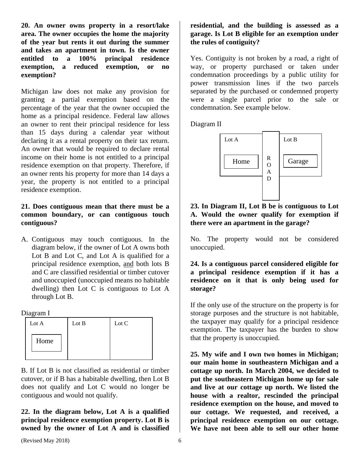**20. An owner owns property in a resort/lake area. The owner occupies the home the majority of the year but rents it out during the summer and takes an apartment in town. Is the owner entitled to a 100% principal residence exemption, a reduced exemption, or no exemption?** 

Michigan law does not make any provision for granting a partial exemption based on the percentage of the year that the owner occupied the home as a principal residence. Federal law allows an owner to rent their principal residence for less than 15 days during a calendar year without declaring it as a rental property on their tax return. An owner that would be required to declare rental income on their home is not entitled to a principal residence exemption on that property. Therefore, if an owner rents his property for more than 14 days a year, the property is not entitled to a principal residence exemption.

# **21. Does contiguous mean that there must be a common boundary, or can contiguous touch contiguous?**

A. Contiguous may touch contiguous. In the diagram below, if the owner of Lot A owns both Lot B and Lot C, and Lot A is qualified for a principal residence exemption, and both lots B and C are classified residential or timber cutover and unoccupied (unoccupied means no habitable dwelling) then Lot C is contiguous to Lot A through Lot B.

Diagram I

| Lot A | Lot B | Lot C |
|-------|-------|-------|
| Home  |       |       |
|       |       |       |

B. If Lot B is not classified as residential or timber cutover, or if B has a habitable dwelling, then Lot B does not qualify and Lot C would no longer be contiguous and would not qualify.

**22. In the diagram below, Lot A is a qualified principal residence exemption property. Lot B is owned by the owner of Lot A and is classified** 

# **residential, and the building is assessed as a garage. Is Lot B eligible for an exemption under the rules of contiguity?**

Yes. Contiguity is not broken by a road, a right of way, or property purchased or taken under condemnation proceedings by a public utility for power transmission lines if the two parcels separated by the purchased or condemned property were a single parcel prior to the sale or condemnation. See example below.

Diagram II



**23. In Diagram II, Lot B be is contiguous to Lot A. Would the owner qualify for exemption if there were an apartment in the garage?** 

No. The property would not be considered unoccupied.

**24. Is a contiguous parcel considered eligible for a principal residence exemption if it has a residence on it that is only being used for storage?** 

If the only use of the structure on the property is for storage purposes and the structure is not habitable, the taxpayer may qualify for a principal residence exemption. The taxpayer has the burden to show that the property is unoccupied.

**25. My wife and I own two homes in Michigan; our main home in southeastern Michigan and a cottage up north. In March 2004, we decided to put the southeastern Michigan home up for sale and live at our cottage up north. We listed the house with a realtor, rescinded the principal residence exemption on the house, and moved to our cottage. We requested, and received, a principal residence exemption on our cottage. We have not been able to sell our other home**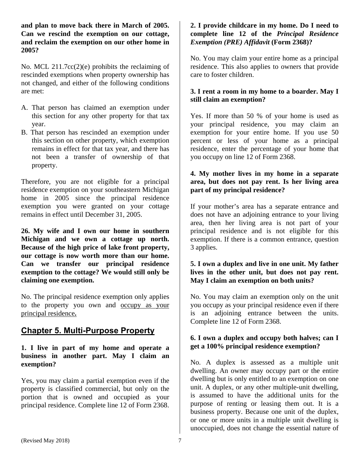**and plan to move back there in March of 2005. Can we rescind the exemption on our cottage, and reclaim the exemption on our other home in 2005?** 

No. MCL 211.7cc(2)(e) prohibits the reclaiming of rescinded exemptions when property ownership has not changed, and either of the following conditions are met:

- A. That person has claimed an exemption under this section for any other property for that tax year.
- B. That person has rescinded an exemption under this section on other property, which exemption remains in effect for that tax year, and there has not been a transfer of ownership of that property.

Therefore, you are not eligible for a principal residence exemption on your southeastern Michigan home in 2005 since the principal residence exemption you were granted on your cottage remains in effect until December 31, 2005.

**26. My wife and I own our home in southern Michigan and we own a cottage up north. Because of the high price of lake front property, our cottage is now worth more than our home. Can we transfer our principal residence exemption to the cottage? We would still only be claiming one exemption.** 

No. The principal residence exemption only applies to the property you own and occupy as your principal residence**.** 

# **Chapter 5. Multi-Purpose Property**

**1. I live in part of my home and operate a business in another part. May I claim an exemption?**

Yes, you may claim a partial exemption even if the property is classified commercial, but only on the portion that is owned and occupied as your principal residence. Complete line 12 of Form 2368.

# **2. I provide childcare in my home. Do I need to complete line 12 of the** *Principal Residence Exemption (PRE) Affidavit* **(Form 2368)?**

No. You may claim your entire home as a principal residence. This also applies to owners that provide care to foster children.

# **3. I rent a room in my home to a boarder. May I still claim an exemption?**

Yes. If more than 50 % of your home is used as your principal residence, you may claim an exemption for your entire home. If you use 50 percent or less of your home as a principal residence, enter the percentage of your home that you occupy on line 12 of Form 2368.

# **4. My mother lives in my home in a separate area, but does not pay rent. Is her living area part of my principal residence?**

If your mother's area has a separate entrance and does not have an adjoining entrance to your living area, then her living area is not part of your principal residence and is not eligible for this exemption. If there is a common entrance, question 3 applies.

# **5. I own a duplex and live in one unit. My father lives in the other unit, but does not pay rent. May I claim an exemption on both units?**

No. You may claim an exemption only on the unit you occupy as your principal residence even if there is an adjoining entrance between the units. Complete line 12 of Form 2368.

# **6. I own a duplex and occupy both halves; can I get a 100% principal residence exemption?**

No. A duplex is assessed as a multiple unit dwelling. An owner may occupy part or the entire dwelling but is only entitled to an exemption on one unit. A duplex, or any other multiple-unit dwelling, is assumed to have the additional units for the purpose of renting or leasing them out. It is a business property. Because one unit of the duplex, or one or more units in a multiple unit dwelling is unoccupied, does not change the essential nature of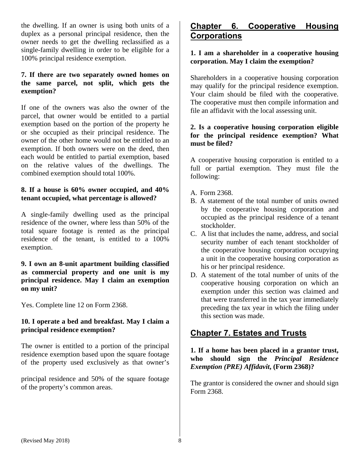the dwelling. If an owner is using both units of a duplex as a personal principal residence, then the owner needs to get the dwelling reclassified as a single-family dwelling in order to be eligible for a 100% principal residence exemption.

# **7. If there are two separately owned homes on the same parcel, not split, which gets the exemption?**

If one of the owners was also the owner of the parcel, that owner would be entitled to a partial exemption based on the portion of the property he or she occupied as their principal residence. The owner of the other home would not be entitled to an exemption. If both owners were on the deed, then each would be entitled to partial exemption, based on the relative values of the dwellings. The combined exemption should total 100%.

# **8. If a house is 60% owner occupied, and 40% tenant occupied, what percentage is allowed?**

A single-family dwelling used as the principal residence of the owner, where less than 50% of the total square footage is rented as the principal residence of the tenant, is entitled to a 100% exemption.

## **9. I own an 8-unit apartment building classified as commercial property and one unit is my principal residence. May I claim an exemption on my unit?**

Yes. Complete line 12 on Form 2368.

# **10. I operate a bed and breakfast. May I claim a principal residence exemption?**

The owner is entitled to a portion of the principal residence exemption based upon the square footage of the property used exclusively as that owner's

principal residence and 50% of the square footage of the property's common areas.

# **Chapter 6. Cooperative Housing Corporations**

# **1. I am a shareholder in a cooperative housing corporation. May I claim the exemption?**

Shareholders in a cooperative housing corporation may qualify for the principal residence exemption. Your claim should be filed with the cooperative. The cooperative must then compile information and file an affidavit with the local assessing unit.

# **2. Is a cooperative housing corporation eligible for the principal residence exemption? What must be filed?**

A cooperative housing corporation is entitled to a full or partial exemption. They must file the following:

- A. Form 2368.
- B. A statement of the total number of units owned by the cooperative housing corporation and occupied as the principal residence of a tenant stockholder.
- C. A list that includes the name, address, and social security number of each tenant stockholder of the cooperative housing corporation occupying a unit in the cooperative housing corporation as his or her principal residence.
- D. A statement of the total number of units of the cooperative housing corporation on which an exemption under this section was claimed and that were transferred in the tax year immediately preceding the tax year in which the filing under this section was made.

# **Chapter 7. Estates and Trusts**

**1. If a home has been placed in a grantor trust, who should sign the** *Principal Residence Exemption (PRE) Affidavit***, (Form 2368)?** 

The grantor is considered the owner and should sign Form 2368.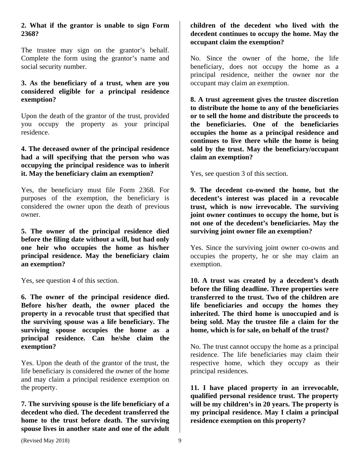# **2. What if the grantor is unable to sign Form 2368?**

The trustee may sign on the grantor's behalf. Complete the form using the grantor's name and social security number.

#### **3. As the beneficiary of a trust, when are you considered eligible for a principal residence exemption?**

Upon the death of the grantor of the trust, provided you occupy the property as your principal residence.

#### **4. The deceased owner of the principal residence had a will specifying that the person who was occupying the principal residence was to inherit it. May the beneficiary claim an exemption?**

Yes, the beneficiary must file Form 2368. For purposes of the exemption, the beneficiary is considered the owner upon the death of previous owner.

**5. The owner of the principal residence died before the filing date without a will, but had only one heir who occupies the home as his/her principal residence. May the beneficiary claim an exemption?** 

Yes, see question 4 of this section.

**6. The owner of the principal residence died. Before his/her death, the owner placed the property in a revocable trust that specified that the surviving spouse was a life beneficiary. The surviving spouse occupies the home as a principal residence. Can he/she claim the exemption?** 

Yes. Upon the death of the grantor of the trust, the life beneficiary is considered the owner of the home and may claim a principal residence exemption on the property.

**7. The surviving spouse is the life beneficiary of a decedent who died. The decedent transferred the home to the trust before death. The surviving spouse lives in another state and one of the adult** 

# **children of the decedent who lived with the decedent continues to occupy the home. May the occupant claim the exemption?**

No. Since the owner of the home, the life beneficiary, does not occupy the home as a principal residence, neither the owner nor the occupant may claim an exemption.

**8. A trust agreement gives the trustee discretion to distribute the home to any of the beneficiaries or to sell the home and distribute the proceeds to the beneficiaries. One of the beneficiaries occupies the home as a principal residence and continues to live there while the home is being sold by the trust. May the beneficiary/occupant claim an exemption?** 

Yes, see question 3 of this section.

**9. The decedent co-owned the home, but the decedent's interest was placed in a revocable trust, which is now irrevocable. The surviving joint owner continues to occupy the home, but is not one of the decedent's beneficiaries. May the surviving joint owner file an exemption?** 

Yes. Since the surviving joint owner co-owns and occupies the property, he or she may claim an exemption.

**10. A trust was created by a decedent's death before the filing deadline. Three properties were transferred to the trust. Two of the children are life beneficiaries and occupy the homes they inherited. The third home is unoccupied and is being sold. May the trustee file a claim for the home, which is for sale, on behalf of the trust?** 

No. The trust cannot occupy the home as a principal residence. The life beneficiaries may claim their respective home, which they occupy as their principal residences.

**11. I have placed property in an irrevocable, qualified personal residence trust. The property will be my children's in 20 years. The property is my principal residence. May I claim a principal residence exemption on this property?**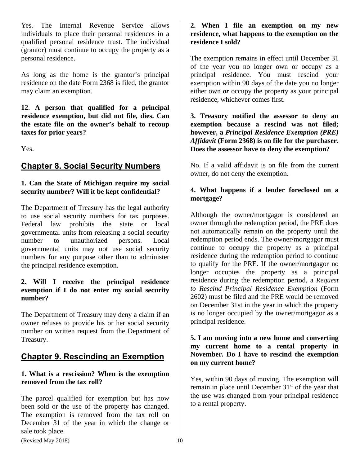Yes. The Internal Revenue Service allows individuals to place their personal residences in a qualified personal residence trust. The individual (grantor) must continue to occupy the property as a personal residence.

As long as the home is the grantor's principal residence on the date Form 2368 is filed, the grantor may claim an exemption.

**12**. **A person that qualified for a principal residence exemption, but did not file, dies. Can the estate file on the owner's behalf to recoup taxes for prior years?** 

Yes.

# **Chapter 8. Social Security Numbers**

# **1. Can the State of Michigan require my social security number? Will it be kept confidential?**

The Department of Treasury has the legal authority to use social security numbers for tax purposes. Federal law prohibits the state or local governmental units from releasing a social security number to unauthorized persons. Local governmental units may not use social security numbers for any purpose other than to administer the principal residence exemption.

## **2. Will I receive the principal residence exemption if I do not enter my social security number?**

The Department of Treasury may deny a claim if an owner refuses to provide his or her social security number on written request from the Department of Treasury.

# **Chapter 9. Rescinding an Exemption**

# **1. What is a rescission? When is the exemption removed from the tax roll?**

The parcel qualified for exemption but has now been sold or the use of the property has changed. The exemption is removed from the tax roll on December 31 of the year in which the change or sale took place.

# **2. When I file an exemption on my new residence, what happens to the exemption on the residence I sold?**

The exemption remains in effect until December 31 of the year you no longer own or occupy as a principal residence. You must rescind your exemption within 90 days of the date you no longer either own *or* occupy the property as your principal residence, whichever comes first.

**3. Treasury notified the assessor to deny an exemption because a rescind was not filed; however, a** *Principal Residence Exemption (PRE) Affidavit* **(Form 2368) is on file for the purchaser. Does the assessor have to deny the exemption?** 

No. If a valid affidavit is on file from the current owner, do not deny the exemption.

# **4. What happens if a lender foreclosed on a mortgage?**

Although the owner/mortgagor is considered an owner through the redemption period, the PRE does not automatically remain on the property until the redemption period ends. The owner/mortgagor must continue to occupy the property as a principal residence during the redemption period to continue to qualify for the PRE. If the owner/mortgagor no longer occupies the property as a principal residence during the redemption period, a *Request to Rescind Principal Residence Exemption* (Form 2602) must be filed and the PRE would be removed on December 31st in the year in which the property is no longer occupied by the owner/mortgagor as a principal residence.

# **5. I am moving into a new home and converting my current home to a rental property in November. Do I have to rescind the exemption on my current home?**

Yes, within 90 days of moving. The exemption will remain in place until December  $31<sup>st</sup>$  of the year that the use was changed from your principal residence to a rental property.

 $(Revised May 2018)$  10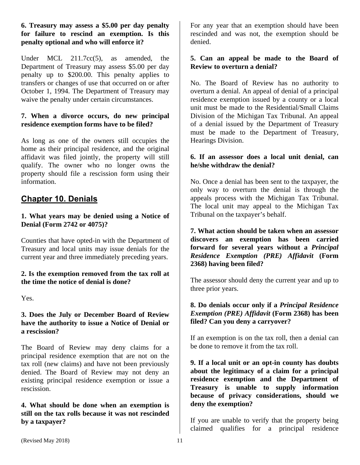## **6. Treasury may assess a \$5.00 per day penalty for failure to rescind an exemption. Is this penalty optional and who will enforce it?**

Under MCL 211.7cc(5), as amended, the Department of Treasury may assess \$5.00 per day penalty up to \$200.00. This penalty applies to transfers or changes of use that occurred on or after October 1, 1994. The Department of Treasury may waive the penalty under certain circumstances.

# **7. When a divorce occurs, do new principal residence exemption forms have to be filed?**

As long as one of the owners still occupies the home as their principal residence, and the original affidavit was filed jointly, the property will still qualify. The owner who no longer owns the property should file a rescission form using their information.

# **Chapter 10. Denials**

# **1. What years may be denied using a Notice of Denial (Form 2742 or 4075)?**

Counties that have opted-in with the Department of Treasury and local units may issue denials for the current year and three immediately preceding years.

## **2. Is the exemption removed from the tax roll at the time the notice of denial is done?**

Yes.

## **3. Does the July or December Board of Review have the authority to issue a Notice of Denial or a rescission?**

The Board of Review may deny claims for a principal residence exemption that are not on the tax roll (new claims) and have not been previously denied. The Board of Review may not deny an existing principal residence exemption or issue a rescission.

**4. What should be done when an exemption is still on the tax rolls because it was not rescinded by a taxpayer?** 

For any year that an exemption should have been rescinded and was not, the exemption should be denied.

# **5. Can an appeal be made to the Board of Review to overturn a denial?**

No. The Board of Review has no authority to overturn a denial. An appeal of denial of a principal residence exemption issued by a county or a local unit must be made to the Residential/Small Claims Division of the Michigan Tax Tribunal. An appeal of a denial issued by the Department of Treasury must be made to the Department of Treasury, Hearings Division.

# **6. If an assessor does a local unit denial, can he/she withdraw the denial?**

No. Once a denial has been sent to the taxpayer, the only way to overturn the denial is through the appeals process with the Michigan Tax Tribunal. The local unit may appeal to the Michigan Tax Tribunal on the taxpayer's behalf.

**7. What action should be taken when an assessor discovers an exemption has been carried forward for several years without a** *Principal Residence Exemption (PRE) Affidavit* **(Form 2368) having been filed?** 

The assessor should deny the current year and up to three prior years.

# **8. Do denials occur only if a** *Principal Residence Exemption (PRE) Affidavit* **(Form 2368) has been filed? Can you deny a carryover?**

If an exemption is on the tax roll, then a denial can be done to remove it from the tax roll.

**9. If a local unit or an opt-in county has doubts about the legitimacy of a claim for a principal residence exemption and the Department of Treasury is unable to supply information because of privacy considerations, should we deny the exemption?** 

If you are unable to verify that the property being claimed qualifies for a principal residence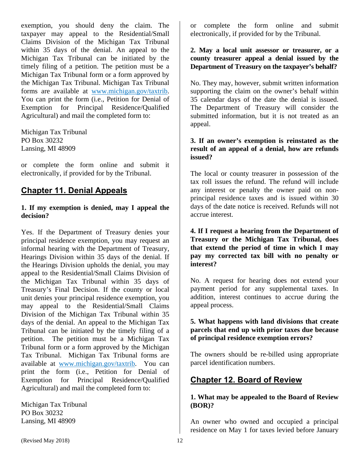exemption, you should deny the claim. The taxpayer may appeal to the Residential/Small Claims Division of the Michigan Tax Tribunal within 35 days of the denial. An appeal to the Michigan Tax Tribunal can be initiated by the timely filing of a petition. The petition must be a Michigan Tax Tribunal form or a form approved by the Michigan Tax Tribunal. Michigan Tax Tribunal forms are available at www.michigan.gov/taxtrib. You can print the form (i.e., Petition for Denial of Exemption for Principal Residence/Qualified Agricultural) and mail the completed form to:

Michigan Tax Tribunal PO Box 30232 Lansing, MI 48909

or complete the form online and submit it electronically, if provided for by the Tribunal.

# **Chapter 11. Denial Appeals**

#### **1. If my exemption is denied, may I appeal the decision?**

Yes. If the Department of Treasury denies your principal residence exemption, you may request an informal hearing with the Department of Treasury, Hearings Division within 35 days of the denial. If the Hearings Division upholds the denial, you may appeal to the Residential/Small Claims Division of the Michigan Tax Tribunal within 35 days of Treasury's Final Decision. If the county or local unit denies your principal residence exemption, you may appeal to the Residential/Small Claims Division of the Michigan Tax Tribunal within 35 days of the denial. An appeal to the Michigan Tax Tribunal can be initiated by the timely filing of a petition. The petition must be a Michigan Tax Tribunal form or a form approved by the Michigan Tax Tribunal. Michigan Tax Tribunal forms are available at www.michigan.gov/taxtrib. You can print the form (i.e., Petition for Denial of Exemption for Principal Residence/Qualified Agricultural) and mail the completed form to:

Michigan Tax Tribunal PO Box 30232 Lansing, MI 48909

or complete the form online and submit electronically, if provided for by the Tribunal.

# **2. May a local unit assessor or treasurer, or a county treasurer appeal a denial issued by the Department of Treasury on the taxpayer's behalf?**

No. They may, however, submit written information supporting the claim on the owner's behalf within 35 calendar days of the date the denial is issued. The Department of Treasury will consider the submitted information, but it is not treated as an appeal.

#### **3. If an owner's exemption is reinstated as the result of an appeal of a denial, how are refunds issued?**

The local or county treasurer in possession of the tax roll issues the refund. The refund will include any interest or penalty the owner paid on nonprincipal residence taxes and is issued within 30 days of the date notice is received. Refunds will not accrue interest.

## **4. If I request a hearing from the Department of Treasury or the Michigan Tax Tribunal, does that extend the period of time in which I may pay my corrected tax bill with no penalty or interest?**

No. A request for hearing does not extend your payment period for any supplemental taxes. In addition, interest continues to accrue during the appeal process.

# **5. What happens with land divisions that create parcels that end up with prior taxes due because of principal residence exemption errors?**

The owners should be re-billed using appropriate parcel identification numbers.

# **Chapter 12. Board of Review**

# **1. What may be appealed to the Board of Review (BOR)?**

An owner who owned and occupied a principal residence on May 1 for taxes levied before January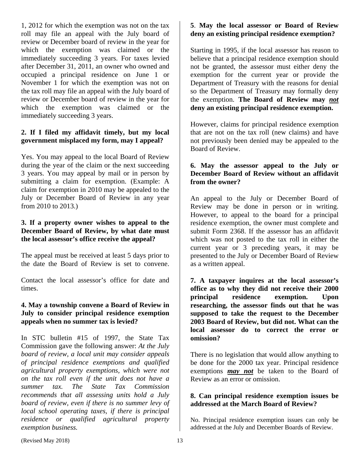1, 2012 for which the exemption was not on the tax roll may file an appeal with the July board of review or December board of review in the year for which the exemption was claimed or the immediately succeeding 3 years. For taxes levied after December 31, 2011, an owner who owned and occupied a principal residence on June 1 or November 1 for which the exemption was not on the tax roll may file an appeal with the July board of review or December board of review in the year for which the exemption was claimed or the immediately succeeding 3 years.

# **2. If I filed my affidavit timely, but my local government misplaced my form, may I appeal?**

Yes. You may appeal to the local Board of Review during the year of the claim or the next succeeding 3 years. You may appeal by mail or in person by submitting a claim for exemption. (Example: A claim for exemption in 2010 may be appealed to the July or December Board of Review in any year from 2010 to 2013.)

# **3. If a property owner wishes to appeal to the December Board of Review, by what date must the local assessor's office receive the appeal?**

The appeal must be received at least 5 days prior to the date the Board of Review is set to convene.

Contact the local assessor's office for date and times.

# **4. May a township convene a Board of Review in July to consider principal residence exemption appeals when no summer tax is levied?**

In STC bulletin #15 of 1997, the State Tax Commission gave the following answer: *At the July board of review, a local unit may consider appeals of principal residence exemptions and qualified agricultural property exemptions, which were not on the tax roll even if the unit does not have a summer tax. The State Tax Commission recommends that all assessing units hold a July board of review, even if there is no summer levy of local school operating taxes, if there is principal residence or qualified agricultural property exemption business.* 

# **5**. **May the local assessor or Board of Review deny an existing principal residence exemption?**

Starting in 1995, if the local assessor has reason to believe that a principal residence exemption should not be granted, the assessor must either deny the exemption for the current year or provide the Department of Treasury with the reasons for denial so the Department of Treasury may formally deny the exemption. **The Board of Review may** *not* **deny an existing principal residence exemption.** 

However, claims for principal residence exemption that are not on the tax roll (new claims) and have not previously been denied may be appealed to the Board of Review.

# **6. May the assessor appeal to the July or December Board of Review without an affidavit from the owner?**

An appeal to the July or December Board of Review may be done in person or in writing. However, to appeal to the board for a principal residence exemption, the owner must complete and submit Form 2368. If the assessor has an affidavit which was not posted to the tax roll in either the current year or 3 preceding years, it may be presented to the July or December Board of Review as a written appeal.

**7. A taxpayer inquires at the local assessor's office as to why they did not receive their 2000 principal residence exemption. Upon researching, the assessor finds out that he was supposed to take the request to the December 2003 Board of Review, but did not. What can the local assessor do to correct the error or omission?** 

There is no legislation that would allow anything to be done for the 2000 tax year. Principal residence exemptions *may not* be taken to the Board of Review as an error or omission.

# **8. Can principal residence exemption issues be addressed at the March Board of Review?**

No. Principal residence exemption issues can only be addressed at the July and December Boards of Review.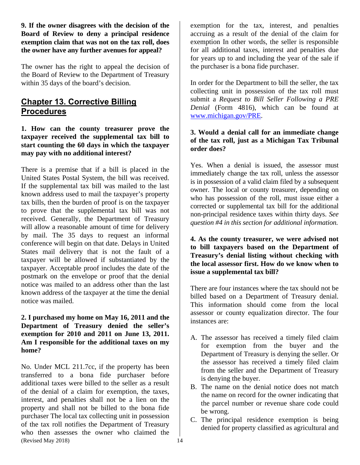**9. If the owner disagrees with the decision of the Board of Review to deny a principal residence exemption claim that was not on the tax roll, does the owner have any further avenues for appeal?** 

The owner has the right to appeal the decision of the Board of Review to the Department of Treasury within 35 days of the board's decision.

# **Chapter 13. Corrective Billing Procedures**

#### **1. How can the county treasurer prove the taxpayer received the supplemental tax bill to start counting the 60 days in which the taxpayer may pay with no additional interest?**

There is a premise that if a bill is placed in the United States Postal System, the bill was received. If the supplemental tax bill was mailed to the last known address used to mail the taxpayer's property tax bills, then the burden of proof is on the taxpayer to prove that the supplemental tax bill was not received. Generally, the Department of Treasury will allow a reasonable amount of time for delivery by mail. The 35 days to request an informal conference will begin on that date. Delays in United States mail delivery that is not the fault of a taxpayer will be allowed if substantiated by the taxpayer. Acceptable proof includes the date of the postmark on the envelope or proof that the denial notice was mailed to an address other than the last known address of the taxpayer at the time the denial notice was mailed.

## **2. I purchased my home on May 16, 2011 and the Department of Treasury denied the seller's exemption for 2010 and 2011 on June 13, 2011. Am I responsible for the additional taxes on my home?**

(Revised May 2018) 14 No. Under MCL 211.7cc, if the property has been transferred to a bona fide purchaser before additional taxes were billed to the seller as a result of the denial of a claim for exemption, the taxes, interest, and penalties shall not be a lien on the property and shall not be billed to the bona fide purchaser The local tax collecting unit in possession of the tax roll notifies the Department of Treasury who then assesses the owner who claimed the

exemption for the tax, interest, and penalties accruing as a result of the denial of the claim for exemption In other words, the seller is responsible for all additional taxes, interest and penalties due for years up to and including the year of the sale if the purchaser is a bona fide purchaser.

In order for the Department to bill the seller, the tax collecting unit in possession of the tax roll must submit a *Request to Bill Seller Following a PRE Denial* (Form 4816), which can be found at www.michigan.gov/PRE.

# **3. Would a denial call for an immediate change of the tax roll, just as a Michigan Tax Tribunal order does?**

Yes. When a denial is issued, the assessor must immediately change the tax roll, unless the assessor is in possession of a valid claim filed by a subsequent owner. The local or county treasurer, depending on who has possession of the roll, must issue either a corrected or supplemental tax bill for the additional non-principal residence taxes within thirty days. *See question #4 in this section for additional information.* 

## **4. As the county treasurer, we were advised not to bill taxpayers based on the Department of Treasury's denial listing without checking with the local assessor first. How do we know when to issue a supplemental tax bill?**

There are four instances where the tax should not be billed based on a Department of Treasury denial. This information should come from the local assessor or county equalization director. The four instances are:

- A. The assessor has received a timely filed claim for exemption from the buyer and the Department of Treasury is denying the seller. Or the assessor has received a timely filed claim from the seller and the Department of Treasury is denying the buyer.
- B. The name on the denial notice does not match the name on record for the owner indicating that the parcel number or revenue share code could be wrong.
- C. The principal residence exemption is being denied for property classified as agricultural and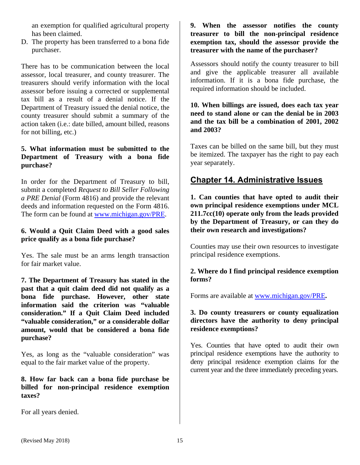an exemption for qualified agricultural property has been claimed.

D. The property has been transferred to a bona fide purchaser.

There has to be communication between the local assessor, local treasurer, and county treasurer. The treasurers should verify information with the local assessor before issuing a corrected or supplemental tax bill as a result of a denial notice. If the Department of Treasury issued the denial notice, the county treasurer should submit a summary of the action taken (i.e.: date billed, amount billed, reasons for not billing, etc.)

## **5. What information must be submitted to the Department of Treasury with a bona fide purchase?**

In order for the Department of Treasury to bill, submit a completed *Request to Bill Seller Following a PRE Denial* (Form 4816) and provide the relevant deeds and information requested on the Form 4816. The form can be found at www.michigan.gov/PRE.

## **6. Would a Quit Claim Deed with a good sales price qualify as a bona fide purchase?**

Yes. The sale must be an arms length transaction for fair market value.

**7. The Department of Treasury has stated in the past that a quit claim deed did not qualify as a bona fide purchase. However, other state information said the criterion was "valuable consideration." If a Quit Claim Deed included "valuable consideration," or a considerable dollar amount, would that be considered a bona fide purchase?** 

Yes, as long as the "valuable consideration" was equal to the fair market value of the property.

# **8. How far back can a bona fide purchase be billed for non-principal residence exemption taxes?**

For all years denied.

# **9. When the assessor notifies the county treasurer to bill the non-principal residence exemption tax, should the assessor provide the treasurer with the name of the purchaser?**

Assessors should notify the county treasurer to bill and give the applicable treasurer all available information. If it is a bona fide purchase, the required information should be included.

**10. When billings are issued, does each tax year need to stand alone or can the denial be in 2003 and the tax bill be a combination of 2001, 2002 and 2003?** 

Taxes can be billed on the same bill, but they must be itemized. The taxpayer has the right to pay each year separately.

# **Chapter 14. Administrative Issues**

**1. Can counties that have opted to audit their own principal residence exemptions under MCL 211.7cc(10) operate only from the leads provided by the Department of Treasury, or can they do their own research and investigations?** 

Counties may use their own resources to investigate principal residence exemptions.

# **2. Where do I find principal residence exemption forms?**

Forms are available at www.michigan.gov/PRE**.** 

## **3. Do county treasurers or county equalization directors have the authority to deny principal residence exemptions?**

Yes. Counties that have opted to audit their own principal residence exemptions have the authority to deny principal residence exemption claims for the current year and the three immediately preceding years.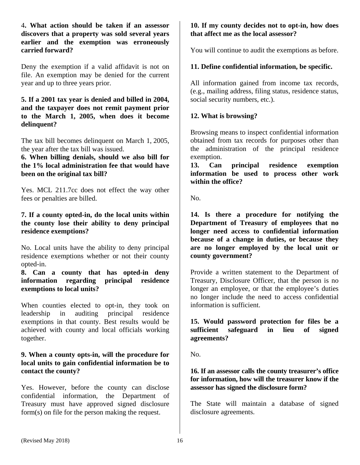4**. What action should be taken if an assessor discovers that a property was sold several years earlier and the exemption was erroneously carried forward?** 

Deny the exemption if a valid affidavit is not on file. An exemption may be denied for the current year and up to three years prior.

#### **5. If a 2001 tax year is denied and billed in 2004, and the taxpayer does not remit payment prior to the March 1, 2005, when does it become delinquent?**

The tax bill becomes delinquent on March 1, 2005, the year after the tax bill was issued.

**6. When billing denials, should we also bill for the 1% local administration fee that would have been on the original tax bill?** 

Yes. MCL 211.7cc does not effect the way other fees or penalties are billed.

## **7. If a county opted-in, do the local units within the county lose their ability to deny principal residence exemptions?**

No. Local units have the ability to deny principal residence exemptions whether or not their county opted-in.

## **8. Can a county that has opted-in deny information regarding principal residence exemptions to local units?**

When counties elected to opt-in, they took on leadership in auditing principal residence exemptions in that county. Best results would be achieved with county and local officials working together.

#### **9. When a county opts-in, will the procedure for local units to gain confidential information be to contact the county?**

Yes. However, before the county can disclose confidential information, the Department of Treasury must have approved signed disclosure form(s) on file for the person making the request.

# **10. If my county decides not to opt-in, how does that affect me as the local assessor?**

You will continue to audit the exemptions as before.

# **11. Define confidential information, be specific.**

All information gained from income tax records, (e.g., mailing address, filing status, residence status, social security numbers, etc.).

# **12. What is browsing?**

Browsing means to inspect confidential information obtained from tax records for purposes other than the administration of the principal residence exemption.

**13. Can principal residence exemption information be used to process other work within the office?** 

No.

**14. Is there a procedure for notifying the Department of Treasury of employees that no longer need access to confidential information because of a change in duties, or because they are no longer employed by the local unit or county government?**

Provide a written statement to the Department of Treasury, Disclosure Officer, that the person is no longer an employee, or that the employee's duties no longer include the need to access confidential information is sufficient.

**15. Would password protection for files be a sufficient safeguard in lieu of signed agreements?** 

No.

# **16. If an assessor calls the county treasurer's office for information, how will the treasurer know if the assessor has signed the disclosure form?**

The State will maintain a database of signed disclosure agreements.